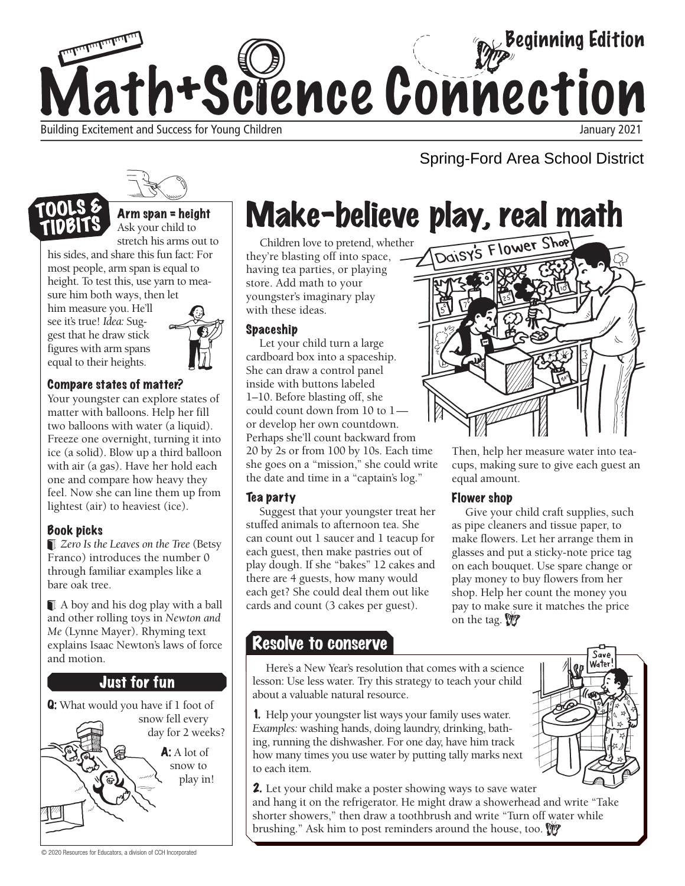

### Spring-Ford Area School District



Arm span = height Ask your child to stretch his arms out to

his sides, and share this fun fact: For most people, arm span is equal to height. To test this, use yarn to measure him both ways, then let

him measure you. He'll see it's true! *Idea:* Suggest that he draw stick figures with arm spans equal to their heights.



#### Compare states of matter?

Your youngster can explore states of matter with balloons. Help her fill two balloons with water (a liquid). Freeze one overnight, turning it into ice (a solid). Blow up a third balloon with air (a gas). Have her hold each one and compare how heavy they feel. Now she can line them up from lightest (air) to heaviest (ice).

#### Book picks

*Zero Is the Leaves on the Tree* (Betsy Franco) introduces the number 0 through familiar examples like a bare oak tree.

A boy and his dog play with a ball and other rolling toys in *Newton and Me* (Lynne Mayer). Rhyming text explains Isaac Newton's laws of force and motion.

#### **Just for fun**



Make-believe play, real math

Children love to pretend, whether they're blasting off into space, having tea parties, or playing store. Add math to your youngster's imaginary play with these ideas.

#### Spaceship

Let your child turn a large cardboard box into a spaceship. She can draw a control panel inside with buttons labeled 1–10. Before blasting off, she could count down from 10 to 1 or develop her own countdown. Perhaps she'll count backward from 20 by 2s or from 100 by 10s. Each time she goes on a "mission," she could write the date and time in a "captain's log."

#### Tea party

Suggest that your youngster treat her stuffed animals to afternoon tea. She can count out 1 saucer and 1 teacup for each guest, then make pastries out of play dough. If she "bakes" 12 cakes and there are 4 guests, how many would each get? She could deal them out like cards and count (3 cakes per guest).

Then, help her measure water into teacups, making sure to give each guest an equal amount.

#### Flower shop

Give your child craft supplies, such as pipe cleaners and tissue paper, to make flowers. Let her arrange them in glasses and put a sticky-note price tag on each bouquet. Use spare change or play money to buy flowers from her shop. Help her count the money you pay to make sure it matches the price on the tag. W

#### Resolve to conserve

Here's a New Year's resolution that comes with a science lesson: Use less water. Try this strategy to teach your child about a valuable natural resource.

1. Help your youngster list ways your family uses water. *Examples:* washing hands, doing laundry, drinking, bathing, running the dishwasher. For one day, have him track how many times you use water by putting tally marks next to each item.

**2.** Let your child make a poster showing ways to save water and hang it on the refrigerator. He might draw a showerhead and write "Take shorter showers," then draw a toothbrush and write "Turn off water while brushing." Ask him to post reminders around the house, too.